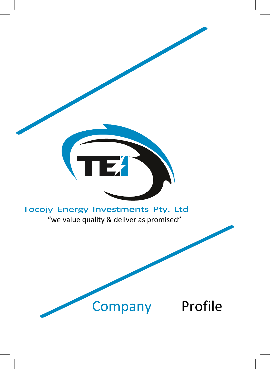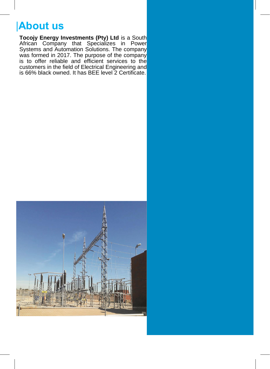## |**About us**

**Tocojy Energy Investments (Pty) Ltd** is a South African Company that Specializes in Power Systems and Automation Solutions. The company was formed in 2017. The purpose of the company is to offer reliable and efficient services to the customers in the field of Electrical Engineering and is 66% black owned. It has BEE level 2 Certificate.

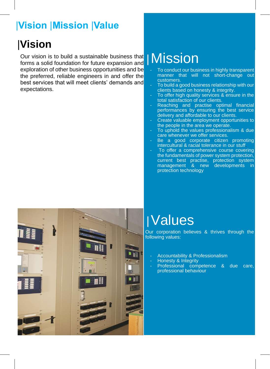## |**Vision** |**Mission** |**Value**

## |**Vision**

Our vision is to build a sustainable business that forms a solid foundation for future expansion and exploration of other business opportunities and be the preferred, reliable engineers in and offer the best services that will meet clients' demands and expectations.

## |Mission

- To conduct our business in highly transparent manner that will not short-change out customers.
- To build a good business relationship with our clients based on honesty & integrity.
- To offer high quality services & ensure in the total satisfaction of our clients.
- Reaching and practise optimal financial performances by ensuring the best service delivery and affordable to our clients.
- Create valuable employment opportunities to the people in the area we operate.
- To uphold the values professionalism & due care whenever we offer services.
- Be a good corporate citizen promoting intercultural & racial tolerance in our stuff.
- To offer a comprehensive course covering the fundamentals of power system protection, current best practise, protection system management & new developments in protection technology



# |Values

Our corporation believes & thrives through the following values:

- Accountability & Professionalism
- Honesty & Integrity
- Professional competence & due care, professional behaviour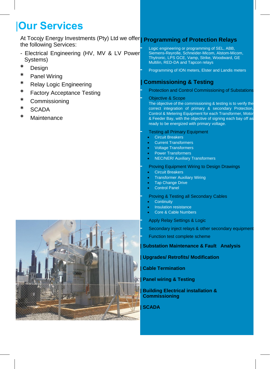## |**Our Services**

At Tocojy Energy Investments (Pty) Ltd we offer **| Programming of Protection Relays**  the following Services:

- Electrical Engineering (HV, MV & LV Power Systems)
- **\*** Design
- **\*** Panel Wiring
- **\*** Relay Logic Engineering
- **\*** Factory Acceptance Testing
- **\*** Commissioning
- **\*** SCADA
- **\*** Maintenance



- **-** Logic engineering or programming of SEL, ABB, Siemens-Reyrolle, Schneider-Micom, Alstom-Micom, Thytronic, LPS GCE, Vamp, Strike, Woodward, GE Multilin, RED-DA and Tapcon relays
- **-** Programming of ION meters, Elster and Landis meters

### **| Commissioning & Testing**

- **-** Protection and Control Commissioning of Substations
- **-** Objective & Scope

The objective of the commissioning & testing is to verify the correct integration of primary & secondary Protection, Control & Metering Equipment for each Transformer, Motor & Feeder Bay, with the objective of signing each bay off as ready to be energized with primary voltage.

- **-** Testing all Primary Equipment
	- Circuit Breakers
	- Current Transformers
	- Voltage Transformers
	- Power Transformers
	- NEC/NER/ Auxiliary Transformers
- **-** Proving Equipment Wiring to Design Drawings
	- **Circuit Breakers**
	- Transformer Auxiliary Wiring
	- **Tap Change Drive**
	- **Control Panel**
- **-** Proving & Testing all Secondary Cables
	- **Continuity**
	- Insulation resistance
	- Core & Cable Numbers
- **-** Apply Relay Settings & Logic
- **-** Secondary inject relays & other secondary equipment
- **-** Function test complete scheme

### **| Substation Maintenance & Fault Analysis**

### **| Upgrades/ Retrofits/ Modification**

### **| Cable Termination**

**| Panel wiring & Testing**

### **| Building Electrical installation & Commissioning**

**| SCADA**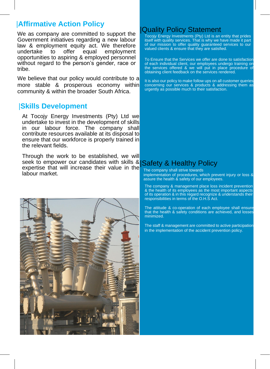## |**Affirmative Action Policy**

We as company are committed to support the Government initiatives regarding a new labour law & employment equity act. We therefore undertake to offer equal employment opportunities to aspiring & employed personnel without regard to the person's gender, race or tribe.

We believe that our policy would contribute to a more stable & prosperous economy within community & within the broader South Africa.

### |**Skills Development**

At Tocojy Energy Investments (Pty) Ltd we undertake to invest in the development of skills in our labour force. The company shall contribute resources available at its disposal to ensure that our workforce is properly trained in the relevant fields.

Through the work to be established, we will seek to empower our candidates with skills & Safety & Healthy Policy expertise that will increase their value in the labour market.



### |Quality Policy Statement

Tocojy Energy Investments (Pty) Ltd is an entity that prides itself with quality services. That is why we have made it part of our mission to offer quality guaranteed services to our valued clients & ensure that they are satisfied.

To Ensure that the Services we offer are done to satisfaction of each individual client, our employees undergo training on the services offered & we will put in place procedure of obtaining client feedback on the services rendered.

It is also our policy to make follow ups on all customer queries concerning our services & products & addressing them as urgently as possible much to their satisfaction.

The company shall strive towards implementation of procedures, which prevent injury or loss & assure the health & safety of our employees.

The company & management place loss incident prevention & the health of its employees as the most important aspects of its operation & in this regard recognize & understands their responsibilities in terms of the O.H.S Act.

The attitude & co-operation of each employee shall ensure that the health & safety conditions are achieved, and losses minimized.

The staff & management are committed to active participation in the implementation of the accident prevention policy.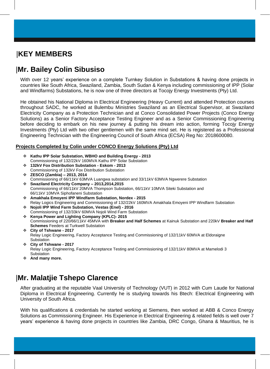## |**KEY MEMBERS**

## |**Mr. Bailey Colin Sibusiso**

With over 12 years' experience on a complete Turnkey Solution in Substations & having done projects in countries like South Africa, Swaziland, Zambia, South Sudan & Kenya including commissioning of IPP (Solar and Windfarms) Substations, he is now one of three directors at Tocojy Energy Investments (Pty) Ltd.

He obtained his National Diploma in Electrical Engineering (Heavy Current) and attended Protection courses throughout SADC, he worked at Bulembu Ministries Swaziland as an Electrical Supervisor, at Swaziland Electricity Company as a Protection Technician and at Conco Consolidated Power Projects (Conco Energy Solutions) as a Senior Factory Acceptance Testing Engineer and as a Senior Commissioning Engineering before deciding to embark on his new journey & putting his dream into action, forming Tocojy Energy Investments (Pty) Ltd with two other gentlemen with the same mind set. He is registered as a Professional Engineering Technician with the Engineering Council of South Africa (ECSA) Reg No: 2018600080.

#### **Projects Completed by Colin under CONCO Energy Solutions (Pty) Ltd**

- ❖ **Kathu IPP Solar Substation, WBHO and Building Energy - 2013** Commissioning of 132/22kV 160MVA Kathu IPP Solar Substation
- ❖ **132kV Fox Distribution Substation - Eskom - 2013** Commissioning of 132kV Fox Distribution Substation
- ❖ **ZESCO (Zambia) – 2013, 2014** Commissioning of 66/11kV 63MVA Luangwa substation and 33/11kV 63MVA Ngwerere Substation
- ❖ **Swaziland Electricity Company – 2013,2014,2015** Commissioning of 66/11kV 20MVA Thompson Substation, 66/11kV 10MVA Siteki Substation and 66/11kV 10MVA Siphofaneni Substation
- ❖ **Amakhala Emoyeni IPP Windfarm Substation, Nordex - 2015** Relay Logics Engineering and Commissioning of 132/22kV 160MVA Amakhala Emoyeni IPP Windfarm Substation
- ❖ **Nojoli IPP Wind Farm Substation, Vestas (Enel) - 2016** Commissioning of 132/33kV 60MVA Nojoli Wind Farm Substation
- ❖ **Kenya Power and Lighting Company (KPLC)- 2015** Commissioning of 220/66/11kV 45MVA with **Breaker and Half Schemes** at Kainuk Substation and 220kV **Breaker and Half Schemes** Feeders at Turkwell Substation
- ❖ **City of Tshwane - 2017** Relay Logic Engineering, Factory Acceptance Testing and Commissioning of 132/11kV 60MVA at Eldoraigne Substation
- ❖ **City of Tshwane - 2017** Relay Logic Engineering, Factory Acceptance Testing and Commissioning of 132/11kV 80MVA at Mamelodi 3 Substation
- ❖ **And many more.**

## |**Mr. Malatjie Tshepo Clarence**

After graduating at the reputable Vaal University of Technology (VUT) in 2012 with Cum Laude for National Diploma in Electrical Engineering. Currently he is studying towards his Btech: Electrical Engineering with University of South Africa.

With his qualifications & credentials he started working at Siemens, then worked at ABB & Conco Energy Solutions as Commissioning Engineer. His Experience in Electrical Engineering & related fields is well over 7 years' experience & having done projects in countries like Zambia, DRC Congo, Ghana & Mauritius, he is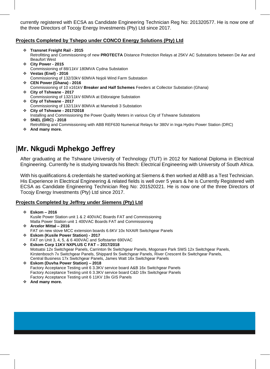currently registered with ECSA as Candidate Engineering Technician Reg No: 201320577. He is now one of the three Directors of Tocojy Energy Investments (Pty) Ltd since 2017.

### **Projects Completed by Tshepo under CONCO Energy Solutions (Pty) Ltd**

- ❖ **Transnet Freight Rail - 2015** Retrofitting and Commissioning of new **PROTECTA** Distance Protection Relays at 25KV AC Substations between De Aar and Beaufort West
- ❖ **City Power - 2015**
- Commissioning of 88/11kV 180MVA Cydna Substation ❖ **Vestas (Enel) - 2016**
- Commissioning of 132/33kV 60MVA Nojoli Wind Farm Substation
- ❖ **CEN Power (Ghana) - 2016**
- Commissioning of 10 x161kV **Breaker and Half Schemes** Feeders at Collector Substation (Ghana) ❖ **City of Tshwane - 2017**
- Commissioning of 132/11kV 60MVA at Eldoraigne Substation
- ❖ **City of Tshwane - 2017** Commissioning of 132/11kV 80MVA at Mamelodi 3 Substation
- ❖ **City of Tshwane - 2017/2018**
- Installing and Commissioning the Power Quality Meters in various City of Tshwane Substations
- ❖ **SNEL (DRC) - 2018**
- Retrofitting and Commissioning with ABB REF630 Numerical Relays for 380V in Inga Hydro Power Station (DRC)
- ❖ **And many more.**

### |**Mr. Nkgudi Mphekgo Jeffrey**

After graduating at the Tshwane University of Technology (TUT) in 2012 for National Diploma in Electrical Engineering. Currently he is studying towards his Btech: Electrical Engineering with University of South Africa.

With his qualifications & credentials he started working at Siemens & then worked at ABB as a Test Technician. His Experience in Electrical Engineering & related fields is well over 5 years & he is Currently Registered with ECSA as Candidate Engineering Technician Reg No: 201520221. He is now one of the three Directors of Tocojy Energy Investments (Pty) Ltd since 2017.

### **Projects Completed by Jeffrey under Siemens (Pty) Ltd**

- ❖ **Eskom – 2016** Kusile Power Station unit 1 & 2 400VAC Boards FAT and Commissioning Matla Power Station unit 1 400VAC Boards FAT and Commissioning
- ❖ **Arcelor Mittal – 2016** FAT on new stove MCC extension boards 6.6KV 10x NXAIR Switchgear Panels
- ❖ **Eskom (Kusile Power Station) - 2017** FAT on Unit 3, 4, 5, & 6 400VAC and Softstarter 690VAC
- ❖ **Eskom Corp 11KV NXPLUS C FAT – 2017/2018** Motsatsi 12x Switchgear Panels, Carrinton 9x Switchgear Panels, Mogonare Park SWS 12x Switchgear Panels, Kirstenbosch 7x Switchgear Panels, Shippard 9x Switchgear Panels, River Crescent 8x Switchgear Panels, Central Business 17x Switchgear Panels, James Watt 16x Switchgear Panels
- ❖ **Eskom (Duvha Power Station) – 2018** Factory Acceptance Testing unit 6 3.3KV service board A&B 16x Switchgear Panels Factory Acceptance Testing unit 6 3.3KV service board C&D 19x Switchgear Panels Factory Acceptance Testing unit 6 11KV 19x GIS Panels
- ❖ **And many more.**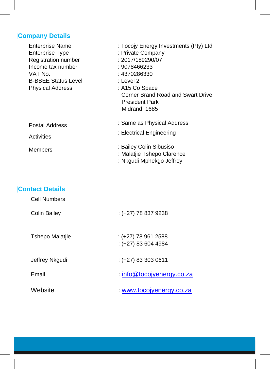## |**Company Details**

| <b>Enterprise Name</b>     | : Tocojy Energy Investments (Pty) Ltd    |
|----------------------------|------------------------------------------|
| <b>Enterprise Type</b>     | : Private Company                        |
| <b>Registration number</b> | : 2017/189290/07                         |
| Income tax number          | : 9078466233                             |
| VAT No.                    | : 4370286330                             |
| <b>B-BBEE Status Level</b> | : Level 2                                |
| <b>Physical Address</b>    | : A15 Co Space                           |
|                            | <b>Corner Brand Road and Swart Drive</b> |
|                            | <b>President Park</b>                    |
|                            | Midrand, 1685                            |
| <b>Postal Address</b>      | : Same as Physical Address               |
|                            | : Electrical Engineering                 |
| <b>Activities</b>          |                                          |
| <b>Members</b>             | : Bailey Colin Sibusiso                  |
|                            | : Malatjie Tshepo Clarence               |
|                            | : Nkgudi Mphekgo Jeffrey                 |

## |**Contact Details**

| <b>Cell Numbers</b>    |                                              |
|------------------------|----------------------------------------------|
| <b>Colin Bailey</b>    | $:(+27)$ 78 837 9238                         |
| <b>Tshepo Malatjie</b> | $:(+27)$ 78 961 2588<br>$:(+27)$ 83 604 4984 |
| Jeffrey Nkgudi         | $:(+27)$ 83 303 0611                         |
| Email                  | $:$ info@tocojyenergy.co.za                  |
| Website                | www.tocojyenergy.co.za                       |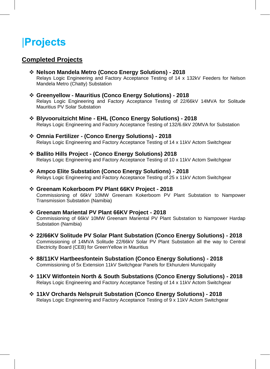## |**Projects**

### **Completed Projects**

- ❖ **Nelson Mandela Metro (Conco Energy Solutions) - 2018** Relays Logic Engineering and Factory Acceptance Testing of 14 x 132kV Feeders for Nelson Mandela Metro (Chatty) Substation
- ❖ **Greenyellow - Mauritius (Conco Energy Solutions) - 2018** Relays Logic Engineering and Factory Acceptance Testing of 22/66kV 14MVA for Solitude Mauritius PV Solar Substation
- ❖ **Blyvooruitzicht Mine - EHL (Conco Energy Solutions) - 2018** Relays Logic Engineering and Factory Acceptance Testing of 132/6.6kV 20MVA for Substation
- ❖ **Omnia Fertilizer - (Conco Energy Solutions) - 2018** Relays Logic Engineering and Factory Acceptance Testing of 14 x 11kV Actom Switchgear
- ❖ **Ballito Hills Project - (Conco Energy Solutions) 2018** Relays Logic Engineering and Factory Acceptance Testing of 10 x 11kV Actom Switchgear
- ❖ **Ampco Elite Substation (Conco Energy Solutions) - 2018** Relays Logic Engineering and Factory Acceptance Testing of 25 x 11kV Actom Switchgear
- ❖ **Greenam Kokerboom PV Plant 66KV Project - 2018** Commissioning of 66kV 10MW Greenam Kokerboom PV Plant Substation to Nampower Transmission Substation (Namibia)
- ❖ **Greenam Mariental PV Plant 66KV Project - 2018** Commissioning of 66kV 10MW Greenam Mariental PV Plant Substation to Nampower Hardap Substation (Namibia)
- ❖ **22/66KV Solitude PV Solar Plant Substation (Conco Energy Solutions) - 2018** Commissioning of 14MVA Solitude 22/66kV Solar PV Plant Substation all the way to Central Electricity Board (CEB) for GreenYellow in Mauritius
- ❖ **88/11KV Hartbeesfontein Substation (Conco Energy Solutions) - 2018** Commissioning of 5x Extension 11kV Switchgear Panels for Ekhuruleni Municipality
- ❖ **11KV Witfontein North & South Substations (Conco Energy Solutions) - 2018** Relays Logic Engineering and Factory Acceptance Testing of 14 x 11kV Actom Switchgear
- ❖ **11kV Orchards Nelspruit Substation (Conco Energy Solutions) - 2018** Relays Logic Engineering and Factory Acceptance Testing of 9 x 11kV Actom Switchgear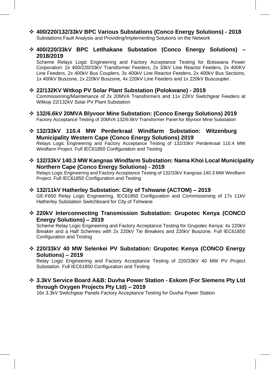- ❖ **400/220/132/33kV BPC Various Substations (Conco Energy Solutions) - 2018** Substations Fault Analysis and Providing/Implementing Solutions on the Network
- ❖ **400/220/33kV BPC Letlhakane Substation (Conco Energy Solutions) – 2018/2019**

Scheme Relays Logic Engineering and Factory Acceptance Testing for Botswana Power Corporation: 2x 400/220/33kV Transformer Feeders, 2x 33kV Line Reactor Feeders, 2x 400KV Line Feeders, 2x 400kV Bus Couplers, 3x 400kV Line Reactor Feeders, 2x 400kV Bus Sections, 1x 400kV Buszone, 1x 220kV Buszone, 4x 220kV Line Feeders and 1x 220kV Buscoupler.

- ❖ **22/132KV Witkop PV Solar Plant Substation (Polokwane) - 2019** Commissioning/Maintenance of 2x 20MVA Transformers and 11x 22KV Switchgear Feeders at Witkop 22/132kV Solar PV Plant Substation
- ❖ **132/6.6kV 20MVA Blyvoor Mine Substation: (Conco Energy Solutions) 2019** Factory Acceptance Testing of 20MVA 132/6.6kV Transformer Panel for Blyvoor Mine Substation
- ❖ **132/33kV 110.4 MW Perderkraal Windfarm Substation: Witzenburg Municipality Western Cape (Conco Energy Solutions) 2019** Relays Logic Engineering and Factory Acceptance Testing of 132/33kV Perderkraal 110.4 MW Windfarm Project. Full IEC61850 Configuration and Testing
- ❖ **132/33kV 140.3 MW Kangnas Windfarm Substation: Nama Khoi Local Municipality Northern Cape (Conco Energy Solutions) - 2019**  Relays Logic Engineering and Factory Acceptance Testing of 132/33kV Kangnas 140.3 MW Windfarm

Project. Full IEC61850 Configuration and Testing

- ❖ **132/11kV Hatherley Substation: City of Tshwane (ACTOM) – 2019**  GE-F650 Relay Logic Engineering, IEC61850 Configuration and Commissioning of 17x 11kV Hatherley Substation Switchboard for City of Tshwane
- ❖ **220kV Interconnecting Transmission Substation: Grupotec Kenya (CONCO Energy Solutions) – 2019**

Scheme Relay Logic Engineering and Factory Acceptance Testing for Grupotec Kenya: 4x 220kV Breaker and a Half Schemes with 2x 220kV Tie Breakers and 220kV Buszone. Full IEC61850 Configuration and Testing

❖ **220/33kV 40 MW Selenkei PV Substation: Grupotec Kenya (CONCO Energy Solutions) – 2019** 

Relay Logic Engineering and Factory Acceptance Testing of 220/33kV 40 MW PV Project Substation. Full IEC61850 Configuration and Testing

❖ **3.3kV Service Board A&B: Duvha Power Station - Eskom (For Siemens Pty Ltd through Oxygen Projects Pty Ltd) – 2019** 

16x 3.3kV Switchgear Panels Factory Acceptance Testing for Duvha Power Station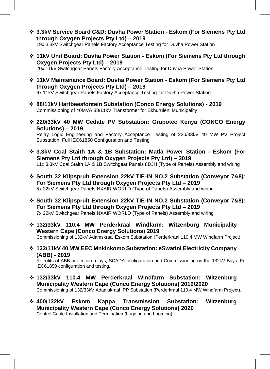- ❖ **3.3kV Service Board C&D: Duvha Power Station - Eskom (For Siemens Pty Ltd through Oxygen Projects Pty Ltd) – 2019**  19x 3.3kV Switchgear Panels Factory Acceptance Testing for Duvha Power Station
- ❖ **11kV Unit Board: Duvha Power Station - Eskom (For Siemens Pty Ltd through Oxygen Projects Pty Ltd) – 2019**

20x 11kV Switchgear Panels Factory Acceptance Testing for Duvha Power Station

❖ **11kV Maintenance Board: Duvha Power Station - Eskom (For Siemens Pty Ltd through Oxygen Projects Pty Ltd) – 2019** 

6x 11kV Switchgear Panels Factory Acceptance Testing for Duvha Power Station

- ❖ **88/11kV Hartbeesfontein Substation (Conco Energy Solutions) - 2019** Commissioning of 40MVA 88/11kV Transformer for Ekhuruleni Municipality
- ❖ **220/33kV 40 MW Cedate PV Substation: Grupotec Kenya (CONCO Energy Solutions) – 2019**

Relay Logic Engineering and Factory Acceptance Testing of 220/33kV 40 MW PV Project Substation. Full IEC61850 Configuration and Testing

- ❖ **3.3kV Coal Staith 1A & 1B Substation: Matla Power Station - Eskom (For Siemens Pty Ltd through Oxygen Projects Pty Ltd) – 2019**  11x 3.3kV Coal Staith 1A & 1B Switchgear Panels 8DJH (Type of Panels) Assembly and wiring
- ❖ **South 32 Klipspruit Extension 22kV TIE-IN NO.2 Substation (Conveyor 7&8): For Siemens Pty Ltd through Oxygen Projects Pty Ltd – 2019**  5x 22kV Switchgear Panels NXAIR WORLD (Type of Panels) Assembly and wiring
- ❖ **South 32 Klipspruit Extension 22kV TIE-IN NO.2 Substation (Conveyor 7&8): For Siemens Pty Ltd through Oxygen Projects Pty Ltd – 2019**  7x 22kV Switchgear Panels NXAIR WORLD (Type of Panels) Assembly and wiring
- ❖ **132/33kV 110.4 MW Perderkraal Windfarm: Witzenburg Municipality Western Cape (Conco Energy Solutions) 2019** Commissioning of 132kV Adamskraal Eskom Substation (Perderkraal 110.4 MW Windfarm Project)
- ❖ **132/11kV 40 MW EEC Mnkinkomo Substation: eSwatini Electricity Company (ABB) - 2019**

Retrofits of ABB protection relays, SCADA configuration and Commissioning on the 132kV Bays. Full IEC61850 configuration and testing.

- ❖ **132/33kV 110.4 MW Perderkraal Windfarm Substation: Witzenburg Municipality Western Cape (Conco Energy Solutions) 2019/2020** Commissioning of 132/33kV Adamskraal IPP Substation (Perderkraal 110.4 MW Windfarm Project).
- ❖ **400/132kV Eskom Kappa Transmission Substation: Witzenburg Municipality Western Cape (Conco Energy Solutions) 2020** Control Cable Installation and Termination (Lugging and Looming).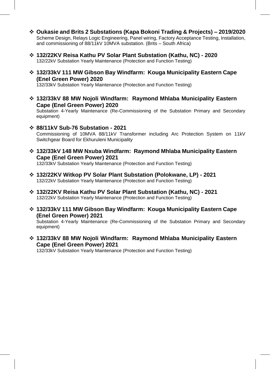- ❖ **Oukasie and Brits 2 Substations (Kapa Bokoni Trading & Projects) – 2019/2020** Scheme Design, Relays Logic Engineering, Panel wiring, Factory Acceptance Testing, Installation, and commissioning of 88/11kV 10MVA substation. (Brits – South Africa)
- ❖ **132/22KV Reisa Kathu PV Solar Plant Substation (Kathu, NC) - 2020** 132/22kV Substation Yearly Maintenance (Protection and Function Testing)
- ❖ **132/33kV 111 MW Gibson Bay Windfarm: Kouga Municipality Eastern Cape (Enel Green Power) 2020**

132/33kV Substation Yearly Maintenance (Protection and Function Testing)

❖ **132/33kV 88 MW Nojoli Windfarm: Raymond Mhlaba Municipality Eastern Cape (Enel Green Power) 2020**

Substation 4-Yearly Maintenance (Re-Commissioning of the Substation Primary and Secondary equipment)

- ❖ **88/11kV Sub-76 Substation - 2021** Commissioning of 10MVA 88/11kV Transformer including Arc Protection System on 11kV Switchgear Board for Ekhuruleni Municipality
- ❖ **132/33kV 148 MW Nxuba Windfarm: Raymond Mhlaba Municipality Eastern Cape (Enel Green Power) 2021** 132/33kV Substation Yearly Maintenance (Protection and Function Testing)
- ❖ **132/22KV Witkop PV Solar Plant Substation (Polokwane, LP) - 2021** 132/22kV Substation Yearly Maintenance (Protection and Function Testing)
- ❖ **132/22KV Reisa Kathu PV Solar Plant Substation (Kathu, NC) - 2021** 132/22kV Substation Yearly Maintenance (Protection and Function Testing)
- ❖ **132/33kV 111 MW Gibson Bay Windfarm: Kouga Municipality Eastern Cape (Enel Green Power) 2021**

Substation 4-Yearly Maintenance (Re-Commissioning of the Substation Primary and Secondary equipment)

❖ **132/33kV 88 MW Nojoli Windfarm: Raymond Mhlaba Municipality Eastern Cape (Enel Green Power) 2021**

132/33kV Substation Yearly Maintenance (Protection and Function Testing)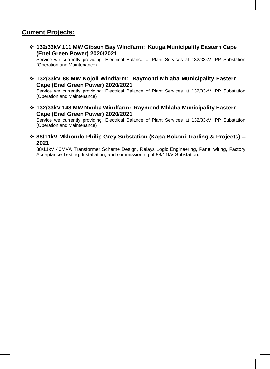### **Current Projects:**

❖ **132/33kV 111 MW Gibson Bay Windfarm: Kouga Municipality Eastern Cape (Enel Green Power) 2020/2021**

Service we currently providing: Electrical Balance of Plant Services at 132/33kV IPP Substation (Operation and Maintenance)

❖ **132/33kV 88 MW Nojoli Windfarm: Raymond Mhlaba Municipality Eastern Cape (Enel Green Power) 2020/2021**

Service we currently providing: Electrical Balance of Plant Services at 132/33kV IPP Substation (Operation and Maintenance)

❖ **132/33kV 148 MW Nxuba Windfarm: Raymond Mhlaba Municipality Eastern Cape (Enel Green Power) 2020/2021**

Service we currently providing: Electrical Balance of Plant Services at 132/33kV IPP Substation (Operation and Maintenance)

❖ **88/11kV Mkhondo Philip Grey Substation (Kapa Bokoni Trading & Projects) – 2021**

88/11kV 40MVA Transformer Scheme Design, Relays Logic Engineering, Panel wiring, Factory Acceptance Testing, Installation, and commissioning of 88/11kV Substation.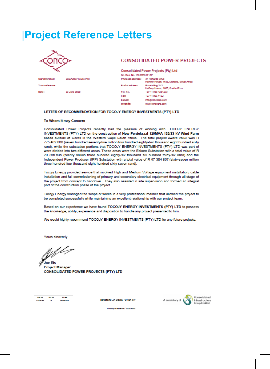## **Project Reference Letters**

20/ZA200713/JE/3748

23 June 2020



Our refer

Date:

Your reference

#### **CONSOLIDATED POWER PROJECTS**

**Consolidated Power Projects (Pty) Ltd** Co. Reg. No. 1963/006171/07 Physical address: 37 Richards Drive<br>Hafway House, 1685, Midrand, South Africa Private Bag X42 Postal address: Halfway House, 1685, South Africa Tel. no. +27.11.805.4281/2/3 Fax: +27 11 805 1132 E-mail: Info@concogrp.com Website: www.concogrp.com

#### LETTER OF RECOMMENDATION FOR TOCOJY ENERGY INVESTMENTS (PTY) LTD

#### To Whom it may Concern

Consolidated Power Projects recently had the pleasure of working with TOCOJY ENERGY INVESTMENTS (PTY) LTD on the construction of New Perdekraal 120MVA 132/33 kV Wind Farm based outside of Ceres in the Western Cape South Africa. The total project award value was R 775 482 860 (seven hundred seventy-five million four hundred eighty-two thousand eight hundred sixty rand), while the substation portions that TOCOJY ENERGY INVESTMENTS (PTY) LTD was part of were divided into two different areas. These areas were the Eskom Substation with a total value of R 20 386 636 (twenty million three hundred eighty-six thousand six hundred thirty-six rand) and the Independent Power Producer (IPP) Substation with a total value of R 67 304 867 (sixty-seven million three hundred four thousand eight hundred sixty-seven rand).

Tocojy Energy provided service that involved High and Medium Voltage equipment installation, cable installation and full commissioning of primary and secondary electrical equipment through all stage of the project from concept to handover. They also assisted in site supervision and formed an integral part of the construction phase of the project.

Tocojy Energy managed the scope of works in a very professional manner that allowed the project to be completed successfully while maintaining an excellent relationship with our project team.

Based on our experience we have found TOCOJY ENERGY INVESTMENTS (PTY) LTD to possess the knowledge, ability, experience and disposition to handle any project presented to him.

We would highly recommend TOCOJY ENERGY INVESTMENTS (PTY) LTD for any future projects.

Yours sincerely

**Joe Fis** 

**Project Manager CONSOLIDATED POWER PROJECTS (PTY) LTD** 

Directors: JA Diadia, 1D van Zyl1





Country of residence: "South Africa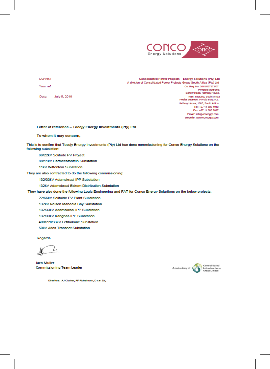

Our ref.:

Your ref:

Date: July 5, 2019

Consolidated Power Projects - Energy Solutions (Pty) Ltd A division of Consolidated Power Projects Group South Africa (Pty) Ltd Co. Reg. No. 2015/037373/07 Physical address: Barlow Road, Halfway House, 1685, Midrand, South Africa<br>Postal address: Private Bag X42, Halfway House, 1685, South Africa Tel: +27 11 805 1910 Fax: +27 11 805 2827 Email: Info@concogrp.com Website: www.concogrp.com

Letter of reference - Tocojy Energy Investments (Pty) Ltd

To whom it may concern,

This is to confirm that Tocojy Energy Investments (Pty) Ltd has done commissioning for Conco Energy Solutions on the following substation:

66/22kV Solitude PV Project

88/11kV Hartbeesfontein Substation

11kV Witfontein Substation

They are also contracted to do the following commissioning:

132/33kV Adamskraal IPP Substation

132kV Adamskraal Eskom Distribution Substation

They have also done the following Logic Engineering and FAT for Conco Energy Solurtions on the below projects:

22/66kV Solituide PV Plant Substation

132kV Nelson Mandela Bay Substation

132/33kV Adamskraal IPP Substation

132/33kV Kangnas IPP Substation

400/220/33kV LetIhakane Substation

50kV Aries Transnet Substation

Regards

Jaco Muller **Commissioning Team Leader** 



Directors: AJ Clacher, AF Richelmann, D van Zyl,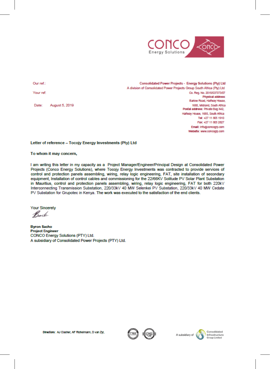

Our ref.:

Your ref:

August 5, 2019 Date:

Consolidated Power Projects - Energy Solutions (Pty) Ltd A division of Consolidated Power Projects Group South Africa (Pty) Ltd Co. Reg. No. 2015/037373/07 Physical address: Barlow Road, Halfway House, 1685, Midrand, South Africa Postal address: Private Bag X42, Halfway House, 1685, South Africa Tel: +27 11 805 1910 Fax: +27 11 805 2827 Email: info@concogrp.com Website: www.concogrp.com

#### Letter of reference - Tocojy Energy Investments (Pty) Ltd

#### To whom it may concern,

I am writing this letter in my capacity as a Project Manager/Engineer/Principal Design at Consolidated Power Projects (Conco Energy Solutions), where Tocojy Energy Investments was contracted to provide services of control and protection panels assembling, wiring, relay logic engineering, FAT, site installation of secondary equipment, Installation of control cables and commissioning for the 22/66KV Solitude PV Solar Plant Substation in Mauritius, control and protection panels assembling, wiring, relay logic engineering, FAT for both 220kV Interconnecting Transmission Substation, 220/33kV 40 MW Selenkei PV Substation, 220/33kV 40 MW Cedate PV Substation for Grupotec in Kenya. The work was executed to the satisfaction of the end clients.

**Your Sincerely** 

Back

**Byron Sacho Project Engineer** CONCO Energy Solutions (PTY) Ltd. A subsidiary of Consolidated Power Projects (PTY) Ltd.





Directors: AJ Clacher, AF Richelmann, D van Zyl,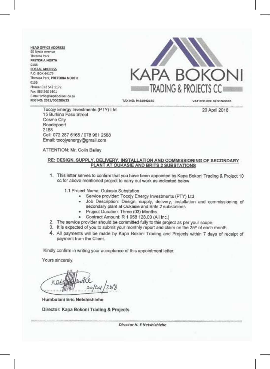**HEAD OFFICE ADDRESS** 55 Nyala Avenue Theresa Park PRETORIA NORTH 0155 **POSTAL ADDRESS** P.O. BOX 44179 Therasa Park, PRETORIA NORTH 0155 Phone: 012 542 1172 Fax: 086 560 9801 E-mail:info@kapabokoni.co.za REG NO: 2011/006289/23



**TAX NO: 9455942160** 

VAT REG NO: 4200260828

20 April 2018

Tocojy Energy Investments (PTY) Ltd 15 Burkina Faso Street Cosmo City Roodepoort 2188 Cell: 072 287 6165 / 078 961 2588 Email: tocojyenergy@gmail.com

ATTENTION: Mr. Colin Bailey

#### RE: DESIGN, SUPPLY, DELIVERY, INSTALLATION AND COMMISSIONING OF SECONDARY PLANT AT OUKASIE AND BRITS 2 SUBSTATIONS

1. This letter serves to confirm that you have been appointed by Kapa Bokoni Trading & Project 10 cc for above mentioned project to carry out work as indicated below

1.1 Project Name: Oukasie Substation

- · Service provider: Tocojy Energy Investments (PTY) Ltd
- Job Description: Design, supply, delivery, installation and commissioning of secondary plant at Oukasie and Brits 2 substations
- · Project Duration: Three (03) Months
- Contract Amount: R 1 958 128.00 (All Inc.)
- 2. The service provider should be committed fully to this project as per your scope.
- 3. It is expected of you to submit your monthly report and claim on the 25<sup>th</sup> of each month.
- 4. All payments will be made by Kapa Bokoni Trading and Projects within 7 days of receipt of payment from the Client.

Kindly confirm in writing your acceptance of this appointment letter.

Yours sincerely,

15/00/02 02:00:00 02:00 02:00:00 02:00:00

20/64

Humbulani Eric Netshishivhe

Director: Kapa Bokoni Trading & Projects

Director H. E Netshishivhe